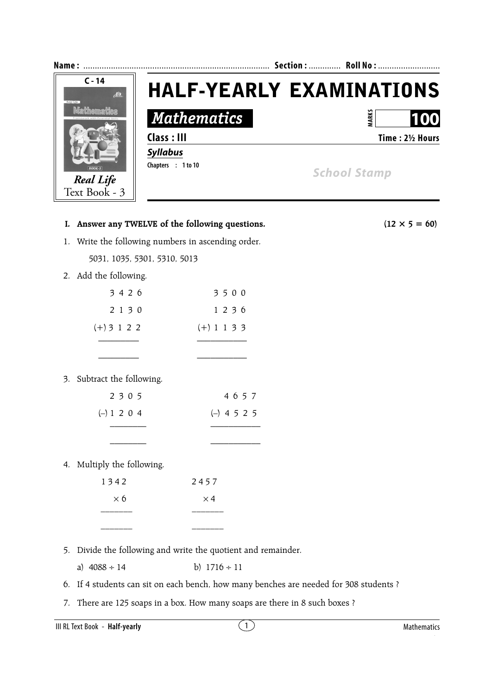

- **I.** Answer any TWELVE of the following questions.  $(12 \times 5 = 60)$
- 1. Write the following numbers in ascending order.

5031, 1035, 5301, 5310, 5013

2. Add the following.

| 3 4 2 6       | 3500          |
|---------------|---------------|
| 2 1 3 0       | 1236          |
| $(+)$ 3 1 2 2 | $(+) 1 1 3 3$ |
|               |               |
|               |               |

3. Subtract the following.

| 2 3 0 5       | 4 6 5 7       |
|---------------|---------------|
| $(-) 1 2 0 4$ | $(-)$ 4 5 2 5 |
|               |               |
|               |               |

4. Multiply the following.

| 1342       | 2457       |
|------------|------------|
| $\times$ 6 | $\times$ 4 |
| ________   | ________   |
| __________ | _________  |

5. Divide the following and write the quotient and remainder.

a)  $4088 \div 14$  b)  $1716 \div 11$ 

- 6. If 4 students can sit on each bench, how many benches are needed for 308 students ?
- 7. There are 125 soaps in a box. How many soaps are there in 8 such boxes ?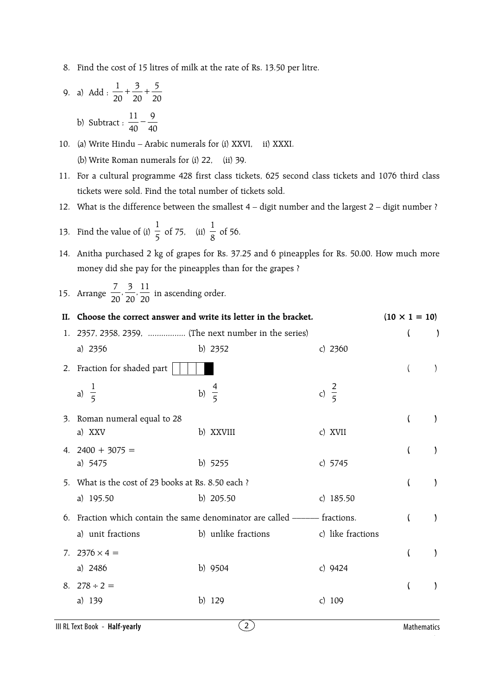8. Find the cost of 15 litres of milk at the rate of Rs. 13.50 per litre.

9. a) Add : 
$$
\frac{1}{20} + \frac{3}{20} + \frac{5}{20}
$$
  
b) Subtract :  $\frac{11}{40} - \frac{9}{40}$ 

10. (a) Write Hindu – Arabic numerals for (i) XXVI, ii) XXXI.

(b) Write Roman numerals for (i) 22, (ii) 39.

- 11. For a cultural programme 428 first class tickets, 625 second class tickets and 1076 third class tickets were sold. Find the total number of tickets sold.
- 12. What is the difference between the smallest 4 digit number and the largest 2 digit number ?

13. Find the value of (i) 
$$
\frac{1}{5}
$$
 of 75. (ii)  $\frac{1}{8}$  of 56.

- 14. Anitha purchased 2 kg of grapes for Rs. 37.25 and 6 pineapples for Rs. 50.00. How much more money did she pay for the pineapples than for the grapes ?
- 15. Arrange  $\frac{1}{20}$ ,  $\frac{2}{20}$ ,  $\frac{12}{20}$  $\frac{7}{20}$ ,  $\frac{3}{20}$ ,  $\frac{11}{20}$  in ascending order.

|    | II. Choose the correct answer and write its letter in the bracket.                             |                     |                   | $(10 \times 1 = 10)$ |               |
|----|------------------------------------------------------------------------------------------------|---------------------|-------------------|----------------------|---------------|
| 1. | 2357, 2358, 2359,  (The next number in the series)                                             |                     |                   |                      |               |
|    | a) 2356                                                                                        | b) $2352$           | c) $2360$         |                      |               |
|    | 2. Fraction for shaded part                                                                    |                     |                   | $\left($             | $\mathcal{F}$ |
|    | a) $\frac{1}{5}$                                                                               | b) $\frac{4}{5}$    | c) $\frac{2}{5}$  |                      |               |
|    | 3. Roman numeral equal to 28<br>a) XXV                                                         | b) XXVIII           | c) XVII           |                      |               |
|    | 4. $2400 + 3075 =$<br>a) 5475                                                                  | b) 5255             | c) $5745$         | (                    |               |
|    | 5. What is the cost of 23 books at Rs. 8.50 each?<br>a) 195.50                                 | b) $205.50$         | c) $185.50$       |                      |               |
|    | 6. Fraction which contain the same denominator are called ———— fractions.<br>a) unit fractions | b) unlike fractions | c) like fractions |                      | $\mathcal{L}$ |
|    | 7. $2376 \times 4 =$<br>a) 2486                                                                | b) 9504             | c) $9424$         | (                    |               |
|    | 8. $278 \div 2 =$<br>a) 139                                                                    | b) $129$            | c) $109$          |                      |               |
|    |                                                                                                |                     |                   |                      |               |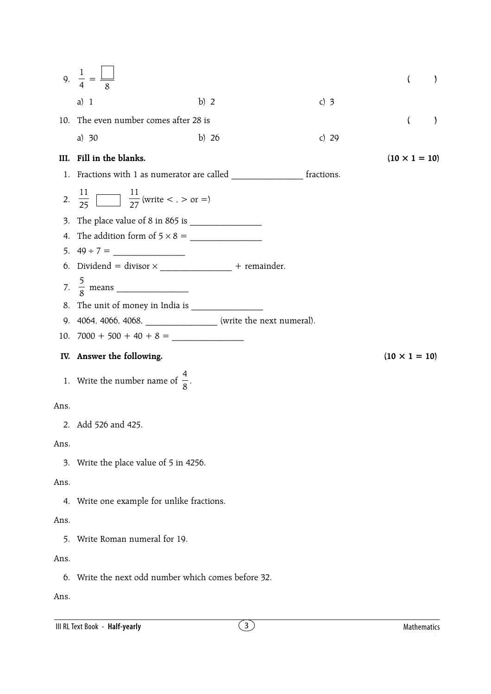|                           | 9. $\frac{1}{4} = \frac{1}{8}$                                    |         |            | $\left($             |
|---------------------------|-------------------------------------------------------------------|---------|------------|----------------------|
|                           | $a)$ 1                                                            | b) $2$  | c) $3$     |                      |
|                           | 10. The even number comes after 28 is                             |         |            | (<br>$\lambda$       |
|                           | a) $30$                                                           | b) $26$ | c) 29      |                      |
|                           | III. Fill in the blanks.                                          |         |            | $(10 \times 1 = 10)$ |
|                           |                                                                   |         | fractions. |                      |
|                           | 2. $\frac{11}{25}$ $\frac{11}{27}$ (write < , > or =)             |         |            |                      |
| 3.                        |                                                                   |         |            |                      |
|                           |                                                                   |         |            |                      |
|                           |                                                                   |         |            |                      |
|                           |                                                                   |         |            |                      |
|                           |                                                                   |         |            |                      |
|                           | 8. The unit of money in India is                                  |         |            |                      |
|                           | 9. 4064, 4066, 4068, __________________ (write the next numeral). |         |            |                      |
|                           |                                                                   |         |            |                      |
|                           | IV. Answer the following.                                         |         |            | $(10 \times 1 = 10)$ |
|                           | 1. Write the number name of $\frac{4}{8}$ .                       |         |            |                      |
| Ans.                      |                                                                   |         |            |                      |
|                           |                                                                   |         |            |                      |
|                           | 2. Add 526 and 425.                                               |         |            |                      |
| Ans.                      |                                                                   |         |            |                      |
| $\overline{\mathbf{3}}$ . |                                                                   |         |            |                      |
|                           | Write the place value of 5 in 4256.                               |         |            |                      |
| Ans.                      |                                                                   |         |            |                      |
|                           | 4. Write one example for unlike fractions.                        |         |            |                      |
| Ans.                      |                                                                   |         |            |                      |
| 5.                        | Write Roman numeral for 19.                                       |         |            |                      |
| Ans.                      |                                                                   |         |            |                      |
| 6.                        | Write the next odd number which comes before 32.                  |         |            |                      |